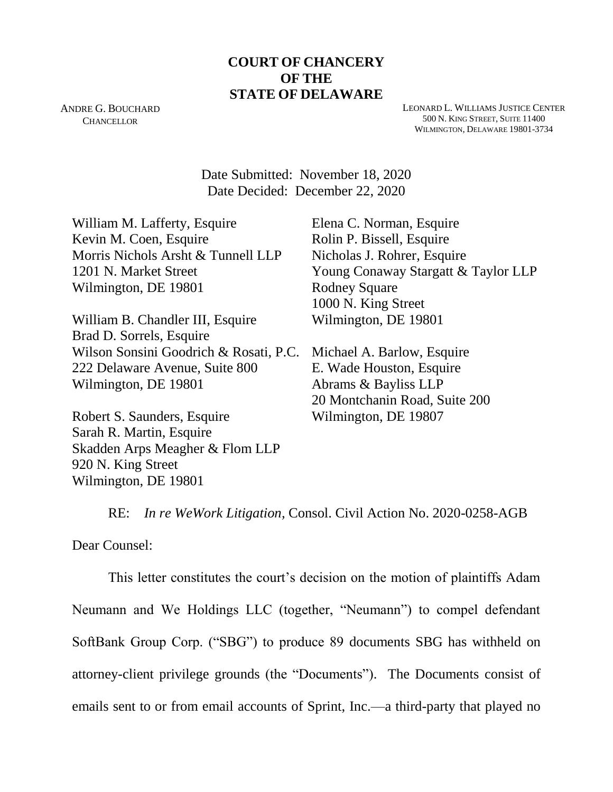# **COURT OF CHANCERY OF THE STATE OF DELAWARE**

ANDRE G. BOUCHARD **CHANCELLOR** 

LEONARD L. WILLIAMS JUSTICE CENTER 500 N. KING STREET, SUITE 11400 WILMINGTON, DELAWARE 19801-3734

Date Submitted: November 18, 2020 Date Decided: December 22, 2020

William M. Lafferty, Esquire Kevin M. Coen, Esquire Morris Nichols Arsht & Tunnell LLP 1201 N. Market Street Wilmington, DE 19801

William B. Chandler III, Esquire Brad D. Sorrels, Esquire Wilson Sonsini Goodrich & Rosati, P.C. 222 Delaware Avenue, Suite 800 Wilmington, DE 19801

Robert S. Saunders, Esquire Sarah R. Martin, Esquire Skadden Arps Meagher & Flom LLP 920 N. King Street Wilmington, DE 19801

Elena C. Norman, Esquire Rolin P. Bissell, Esquire Nicholas J. Rohrer, Esquire Young Conaway Stargatt & Taylor LLP Rodney Square 1000 N. King Street Wilmington, DE 19801

Michael A. Barlow, Esquire E. Wade Houston, Esquire Abrams & Bayliss LLP 20 Montchanin Road, Suite 200 Wilmington, DE 19807

RE: *In re WeWork Litigation,* Consol. Civil Action No. 2020-0258-AGB

Dear Counsel:

This letter constitutes the court's decision on the motion of plaintiffs Adam Neumann and We Holdings LLC (together, "Neumann") to compel defendant SoftBank Group Corp. ("SBG") to produce 89 documents SBG has withheld on attorney-client privilege grounds (the "Documents"). The Documents consist of emails sent to or from email accounts of Sprint, Inc.—a third-party that played no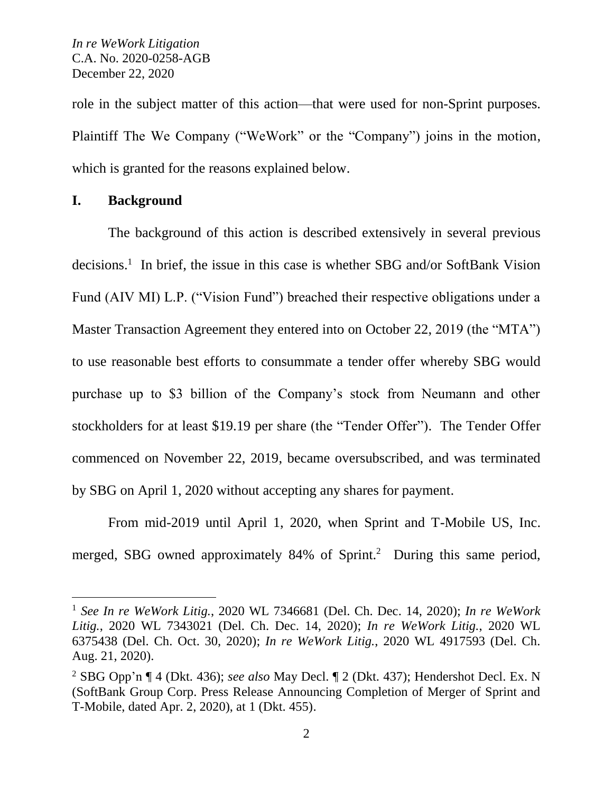role in the subject matter of this action—that were used for non-Sprint purposes. Plaintiff The We Company ("WeWork" or the "Company") joins in the motion, which is granted for the reasons explained below.

## **I. Background**

 $\overline{a}$ 

The background of this action is described extensively in several previous decisions.<sup>1</sup> In brief, the issue in this case is whether SBG and/or SoftBank Vision Fund (AIV MI) L.P. ("Vision Fund") breached their respective obligations under a Master Transaction Agreement they entered into on October 22, 2019 (the "MTA") to use reasonable best efforts to consummate a tender offer whereby SBG would purchase up to \$3 billion of the Company's stock from Neumann and other stockholders for at least \$19.19 per share (the "Tender Offer"). The Tender Offer commenced on November 22, 2019, became oversubscribed, and was terminated by SBG on April 1, 2020 without accepting any shares for payment.

From mid-2019 until April 1, 2020, when Sprint and T-Mobile US, Inc. merged, SBG owned approximately 84% of Sprint.<sup>2</sup> During this same period,

<sup>1</sup> *See In re WeWork Litig.*, 2020 WL 7346681 (Del. Ch. Dec. 14, 2020); *In re WeWork Litig.*, 2020 WL 7343021 (Del. Ch. Dec. 14, 2020); *In re WeWork Litig.*, 2020 WL 6375438 (Del. Ch. Oct. 30, 2020); *In re WeWork Litig.*, 2020 WL 4917593 (Del. Ch. Aug. 21, 2020).

<sup>2</sup> SBG Opp'n ¶ 4 (Dkt. 436); *see also* May Decl. ¶ 2 (Dkt. 437); Hendershot Decl. Ex. N (SoftBank Group Corp. Press Release Announcing Completion of Merger of Sprint and T-Mobile, dated Apr. 2, 2020), at 1 (Dkt. 455).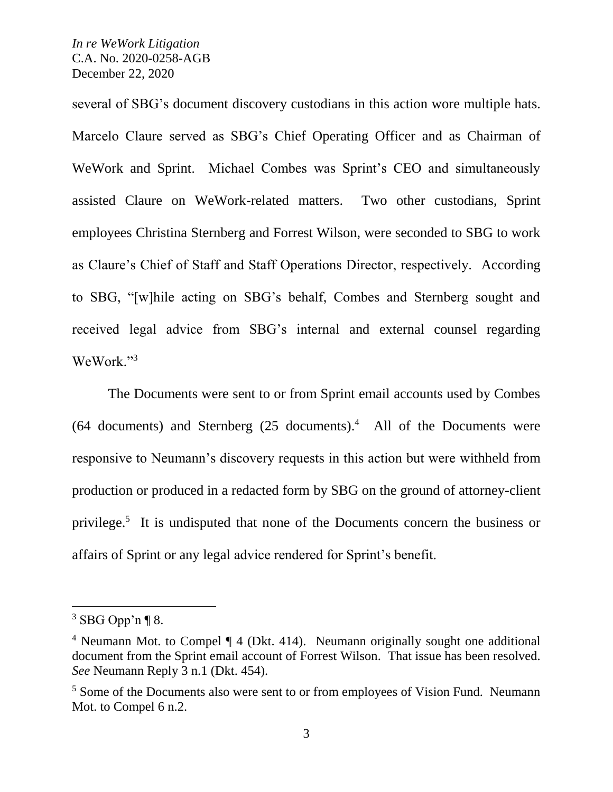several of SBG's document discovery custodians in this action wore multiple hats. Marcelo Claure served as SBG's Chief Operating Officer and as Chairman of WeWork and Sprint. Michael Combes was Sprint's CEO and simultaneously assisted Claure on WeWork-related matters. Two other custodians, Sprint employees Christina Sternberg and Forrest Wilson, were seconded to SBG to work as Claure's Chief of Staff and Staff Operations Director, respectively. According to SBG, "[w]hile acting on SBG's behalf, Combes and Sternberg sought and received legal advice from SBG's internal and external counsel regarding WeWork."<sup>3</sup>

The Documents were sent to or from Sprint email accounts used by Combes  $(64$  documents) and Sternberg  $(25$  documents).<sup>4</sup> All of the Documents were responsive to Neumann's discovery requests in this action but were withheld from production or produced in a redacted form by SBG on the ground of attorney-client privilege.<sup>5</sup> It is undisputed that none of the Documents concern the business or affairs of Sprint or any legal advice rendered for Sprint's benefit.

 $3$  SBG Opp'n ¶ 8.

<sup>&</sup>lt;sup>4</sup> Neumann Mot. to Compel ¶ 4 (Dkt. 414). Neumann originally sought one additional document from the Sprint email account of Forrest Wilson. That issue has been resolved. *See* Neumann Reply 3 n.1 (Dkt. 454).

<sup>&</sup>lt;sup>5</sup> Some of the Documents also were sent to or from employees of Vision Fund. Neumann Mot. to Compel 6 n.2.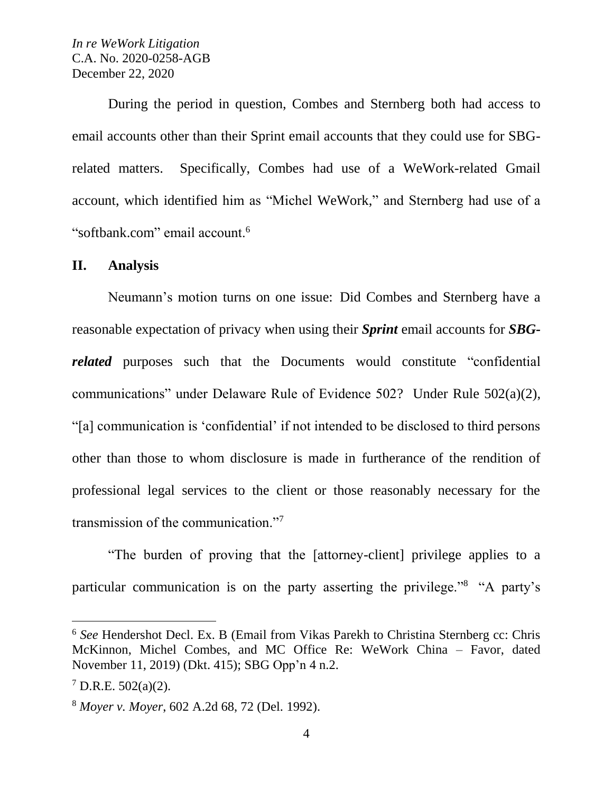During the period in question, Combes and Sternberg both had access to email accounts other than their Sprint email accounts that they could use for SBGrelated matters. Specifically, Combes had use of a WeWork-related Gmail account, which identified him as "Michel WeWork," and Sternberg had use of a "softbank.com" email account.<sup>6</sup>

#### **II. Analysis**

Neumann's motion turns on one issue: Did Combes and Sternberg have a reasonable expectation of privacy when using their *Sprint* email accounts for *SBGrelated* purposes such that the Documents would constitute "confidential" communications" under Delaware Rule of Evidence 502? Under Rule 502(a)(2), "[a] communication is 'confidential' if not intended to be disclosed to third persons other than those to whom disclosure is made in furtherance of the rendition of professional legal services to the client or those reasonably necessary for the transmission of the communication."<sup>7</sup>

"The burden of proving that the [attorney-client] privilege applies to a particular communication is on the party asserting the privilege."<sup>8</sup> "A party's

<sup>6</sup> *See* Hendershot Decl. Ex. B (Email from Vikas Parekh to Christina Sternberg cc: Chris McKinnon, Michel Combes, and MC Office Re: WeWork China – Favor, dated November 11, 2019) (Dkt. 415); SBG Opp'n 4 n.2.

 $7$  D.R.E. 502(a)(2).

<sup>8</sup> *Moyer v. Moyer*, 602 A.2d 68, 72 (Del. 1992).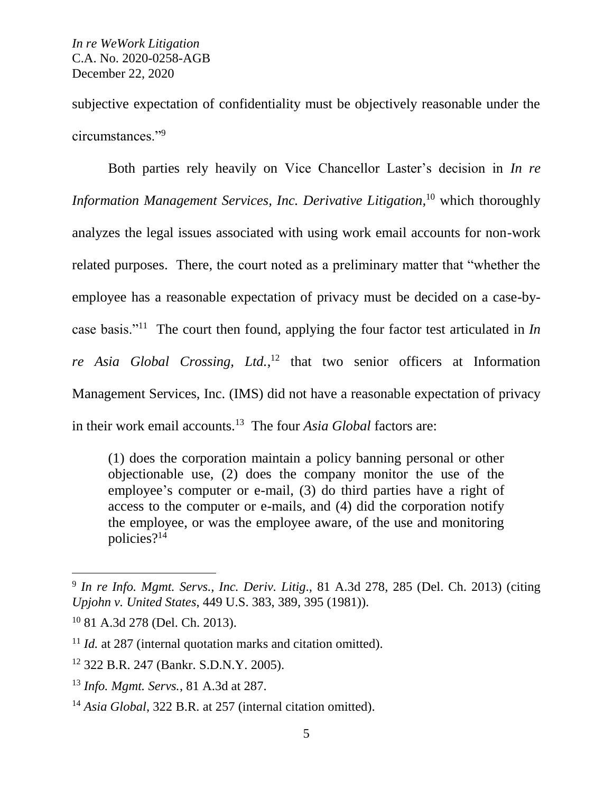subjective expectation of confidentiality must be objectively reasonable under the circumstances."<sup>9</sup>

Both parties rely heavily on Vice Chancellor Laster's decision in *In re Information Management Services, Inc. Derivative Litigation,* <sup>10</sup> which thoroughly analyzes the legal issues associated with using work email accounts for non-work related purposes. There, the court noted as a preliminary matter that "whether the employee has a reasonable expectation of privacy must be decided on a case-bycase basis."<sup>11</sup> The court then found, applying the four factor test articulated in *In re Asia Global Crossing, Ltd.*, <sup>12</sup> that two senior officers at Information Management Services, Inc. (IMS) did not have a reasonable expectation of privacy in their work email accounts.<sup>13</sup> The four *Asia Global* factors are:

(1) does the corporation maintain a policy banning personal or other objectionable use, (2) does the company monitor the use of the employee's computer or e-mail, (3) do third parties have a right of access to the computer or e-mails, and (4) did the corporation notify the employee, or was the employee aware, of the use and monitoring policies?<sup>14</sup>

<sup>9</sup> *In re Info. Mgmt. Servs., Inc. Deriv. Litig*., 81 A.3d 278, 285 (Del. Ch. 2013) (citing *Upjohn v. United States*, 449 U.S. 383, 389, 395 (1981)).

<sup>10</sup> 81 A.3d 278 (Del. Ch. 2013).

<sup>&</sup>lt;sup>11</sup> *Id.* at 287 (internal quotation marks and citation omitted).

<sup>12</sup> 322 B.R. 247 (Bankr. S.D.N.Y. 2005).

<sup>13</sup> *Info. Mgmt. Servs.*, 81 A.3d at 287.

<sup>&</sup>lt;sup>14</sup> *Asia Global*, 322 B.R. at 257 (internal citation omitted).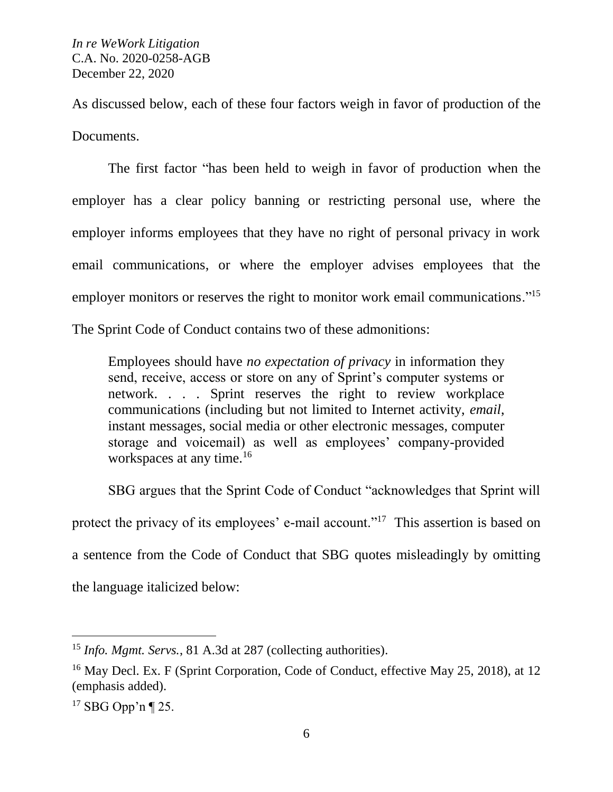As discussed below, each of these four factors weigh in favor of production of the Documents.

The first factor "has been held to weigh in favor of production when the employer has a clear policy banning or restricting personal use, where the employer informs employees that they have no right of personal privacy in work email communications, or where the employer advises employees that the employer monitors or reserves the right to monitor work email communications."<sup>15</sup>

The Sprint Code of Conduct contains two of these admonitions:

Employees should have *no expectation of privacy* in information they send, receive, access or store on any of Sprint's computer systems or network. . . . Sprint reserves the right to review workplace communications (including but not limited to Internet activity, *email*, instant messages, social media or other electronic messages, computer storage and voicemail) as well as employees' company-provided workspaces at any time.<sup>16</sup>

SBG argues that the Sprint Code of Conduct "acknowledges that Sprint will protect the privacy of its employees' e-mail account."<sup>17</sup> This assertion is based on a sentence from the Code of Conduct that SBG quotes misleadingly by omitting the language italicized below:

<sup>15</sup> *Info. Mgmt. Servs.*, 81 A.3d at 287 (collecting authorities).

<sup>&</sup>lt;sup>16</sup> May Decl. Ex. F (Sprint Corporation, Code of Conduct, effective May 25, 2018), at 12 (emphasis added).

 $17$  SBG Opp'n ¶ 25.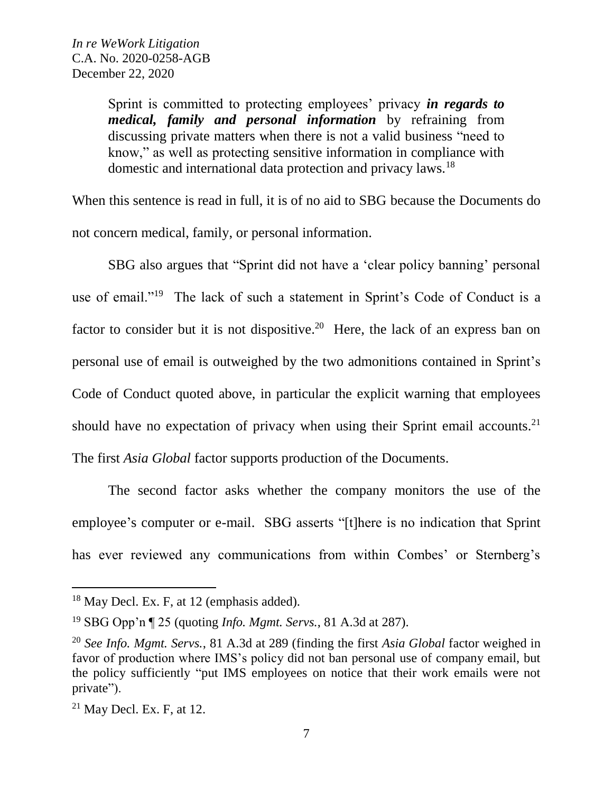Sprint is committed to protecting employees' privacy *in regards to medical, family and personal information* by refraining from discussing private matters when there is not a valid business "need to know," as well as protecting sensitive information in compliance with domestic and international data protection and privacy laws.<sup>18</sup>

When this sentence is read in full, it is of no aid to SBG because the Documents do not concern medical, family, or personal information.

SBG also argues that "Sprint did not have a 'clear policy banning' personal use of email."<sup>19</sup> The lack of such a statement in Sprint's Code of Conduct is a factor to consider but it is not dispositive.<sup>20</sup> Here, the lack of an express ban on personal use of email is outweighed by the two admonitions contained in Sprint's Code of Conduct quoted above, in particular the explicit warning that employees should have no expectation of privacy when using their Sprint email accounts.<sup>21</sup> The first *Asia Global* factor supports production of the Documents.

The second factor asks whether the company monitors the use of the employee's computer or e-mail. SBG asserts "[t]here is no indication that Sprint has ever reviewed any communications from within Combes' or Sternberg's

<sup>&</sup>lt;sup>18</sup> May Decl. Ex. F, at 12 (emphasis added).

<sup>19</sup> SBG Opp'n ¶ 25 (quoting *Info. Mgmt. Servs.*, 81 A.3d at 287).

<sup>20</sup> *See Info. Mgmt. Servs.*, 81 A.3d at 289 (finding the first *Asia Global* factor weighed in favor of production where IMS's policy did not ban personal use of company email, but the policy sufficiently "put IMS employees on notice that their work emails were not private").

 $21$  May Decl. Ex. F, at 12.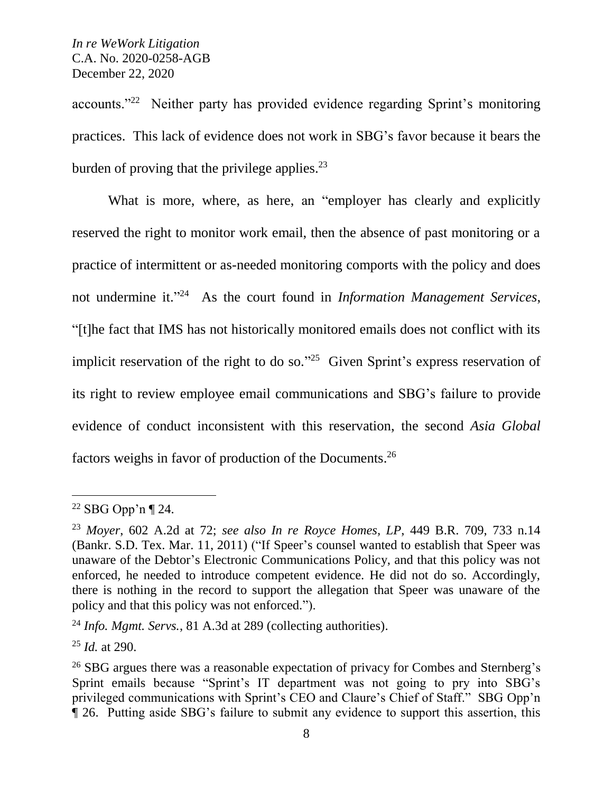accounts."<sup>22</sup> Neither party has provided evidence regarding Sprint's monitoring practices. This lack of evidence does not work in SBG's favor because it bears the burden of proving that the privilege applies.<sup>23</sup>

What is more, where, as here, an "employer has clearly and explicitly reserved the right to monitor work email, then the absence of past monitoring or a practice of intermittent or as-needed monitoring comports with the policy and does not undermine it."<sup>24</sup> As the court found in *Information Management Services*, "[t]he fact that IMS has not historically monitored emails does not conflict with its implicit reservation of the right to do so."<sup>25</sup> Given Sprint's express reservation of its right to review employee email communications and SBG's failure to provide evidence of conduct inconsistent with this reservation, the second *Asia Global* factors weighs in favor of production of the Documents. 26

 $22$  SBG Opp'n ¶ 24.

<sup>23</sup> *Moyer*, 602 A.2d at 72; *see also In re Royce Homes, LP*, 449 B.R. 709, 733 n.14 (Bankr. S.D. Tex. Mar. 11, 2011) ("If Speer's counsel wanted to establish that Speer was unaware of the Debtor's Electronic Communications Policy, and that this policy was not enforced, he needed to introduce competent evidence. He did not do so. Accordingly, there is nothing in the record to support the allegation that Speer was unaware of the policy and that this policy was not enforced.").

<sup>24</sup> *Info. Mgmt. Servs.*, 81 A.3d at 289 (collecting authorities).

<sup>25</sup> *Id.* at 290.

<sup>&</sup>lt;sup>26</sup> SBG argues there was a reasonable expectation of privacy for Combes and Sternberg's Sprint emails because "Sprint's IT department was not going to pry into SBG's privileged communications with Sprint's CEO and Claure's Chief of Staff." SBG Opp'n ¶ 26. Putting aside SBG's failure to submit any evidence to support this assertion, this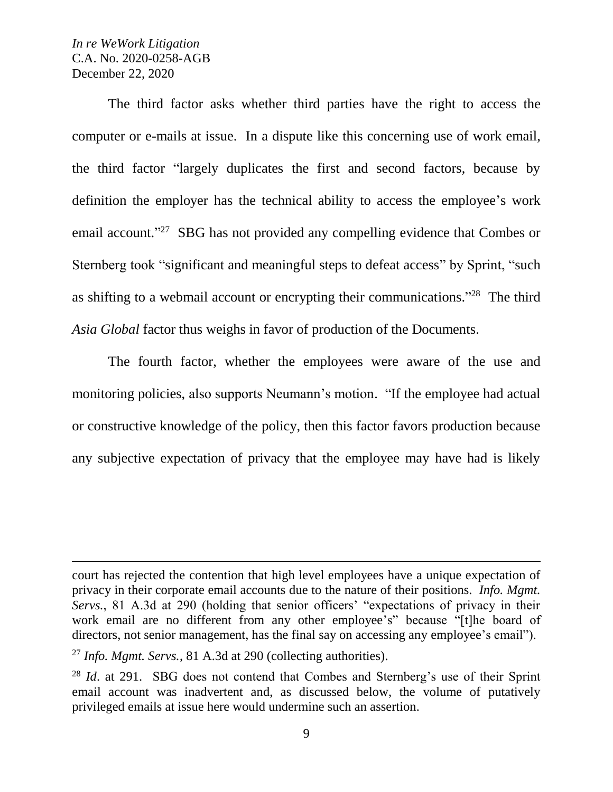$\overline{a}$ 

The third factor asks whether third parties have the right to access the computer or e-mails at issue. In a dispute like this concerning use of work email, the third factor "largely duplicates the first and second factors, because by definition the employer has the technical ability to access the employee's work email account."<sup>27</sup> SBG has not provided any compelling evidence that Combes or Sternberg took "significant and meaningful steps to defeat access" by Sprint, "such as shifting to a webmail account or encrypting their communications."<sup>28</sup> The third *Asia Global* factor thus weighs in favor of production of the Documents.

The fourth factor, whether the employees were aware of the use and monitoring policies, also supports Neumann's motion. "If the employee had actual or constructive knowledge of the policy, then this factor favors production because any subjective expectation of privacy that the employee may have had is likely

court has rejected the contention that high level employees have a unique expectation of privacy in their corporate email accounts due to the nature of their positions. *Info. Mgmt. Servs.*, 81 A.3d at 290 (holding that senior officers' "expectations of privacy in their work email are no different from any other employee's" because "[t]he board of directors, not senior management, has the final say on accessing any employee's email").

<sup>27</sup> *Info. Mgmt. Servs.*, 81 A.3d at 290 (collecting authorities).

<sup>&</sup>lt;sup>28</sup> *Id.* at 291. SBG does not contend that Combes and Sternberg's use of their Sprint email account was inadvertent and, as discussed below, the volume of putatively privileged emails at issue here would undermine such an assertion.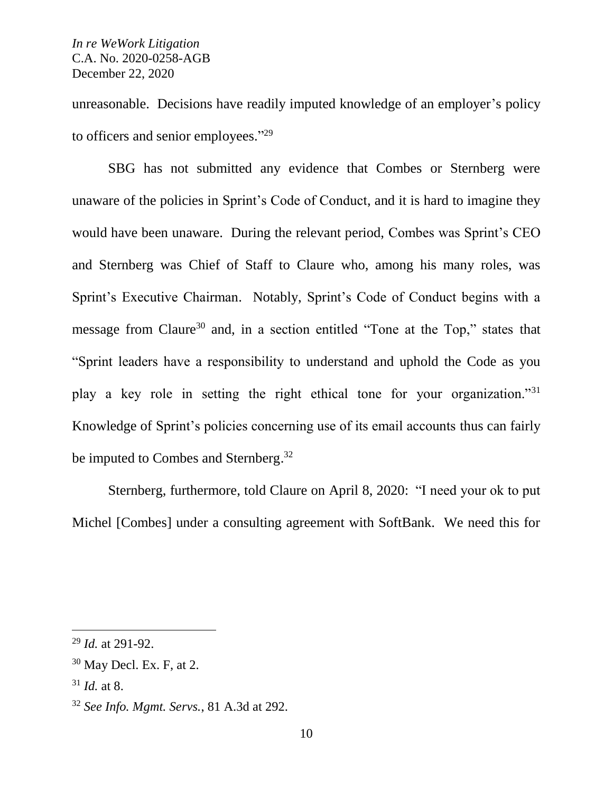unreasonable. Decisions have readily imputed knowledge of an employer's policy to officers and senior employees."<sup>29</sup>

SBG has not submitted any evidence that Combes or Sternberg were unaware of the policies in Sprint's Code of Conduct, and it is hard to imagine they would have been unaware. During the relevant period, Combes was Sprint's CEO and Sternberg was Chief of Staff to Claure who, among his many roles, was Sprint's Executive Chairman. Notably, Sprint's Code of Conduct begins with a message from Claure<sup>30</sup> and, in a section entitled "Tone at the Top," states that "Sprint leaders have a responsibility to understand and uphold the Code as you play a key role in setting the right ethical tone for your organization."<sup>31</sup> Knowledge of Sprint's policies concerning use of its email accounts thus can fairly be imputed to Combes and Sternberg.<sup>32</sup>

Sternberg, furthermore, told Claure on April 8, 2020: "I need your ok to put Michel [Combes] under a consulting agreement with SoftBank. We need this for

<sup>29</sup> *Id.* at 291-92.

 $30$  May Decl. Ex. F, at 2.

<sup>31</sup> *Id.* at 8.

<sup>32</sup> *See Info. Mgmt. Servs.*, 81 A.3d at 292.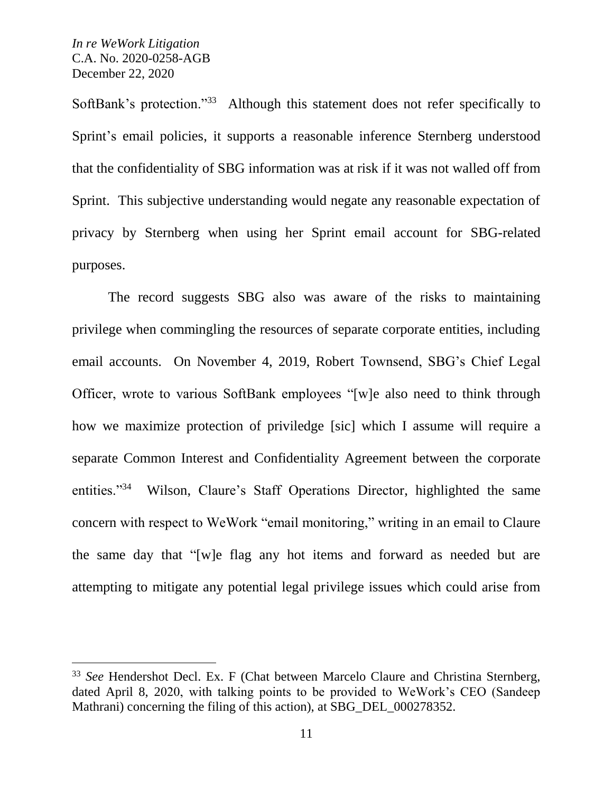SoftBank's protection."<sup>33</sup> Although this statement does not refer specifically to Sprint's email policies, it supports a reasonable inference Sternberg understood that the confidentiality of SBG information was at risk if it was not walled off from Sprint. This subjective understanding would negate any reasonable expectation of privacy by Sternberg when using her Sprint email account for SBG-related purposes.

The record suggests SBG also was aware of the risks to maintaining privilege when commingling the resources of separate corporate entities, including email accounts. On November 4, 2019, Robert Townsend, SBG's Chief Legal Officer, wrote to various SoftBank employees "[w]e also need to think through how we maximize protection of priviledge [sic] which I assume will require a separate Common Interest and Confidentiality Agreement between the corporate entities."<sup>34</sup> Wilson, Claure's Staff Operations Director, highlighted the same concern with respect to WeWork "email monitoring," writing in an email to Claure the same day that "[w]e flag any hot items and forward as needed but are attempting to mitigate any potential legal privilege issues which could arise from

<sup>33</sup> *See* Hendershot Decl. Ex. F (Chat between Marcelo Claure and Christina Sternberg, dated April 8, 2020, with talking points to be provided to WeWork's CEO (Sandeep Mathrani) concerning the filing of this action), at SBG DEL 000278352.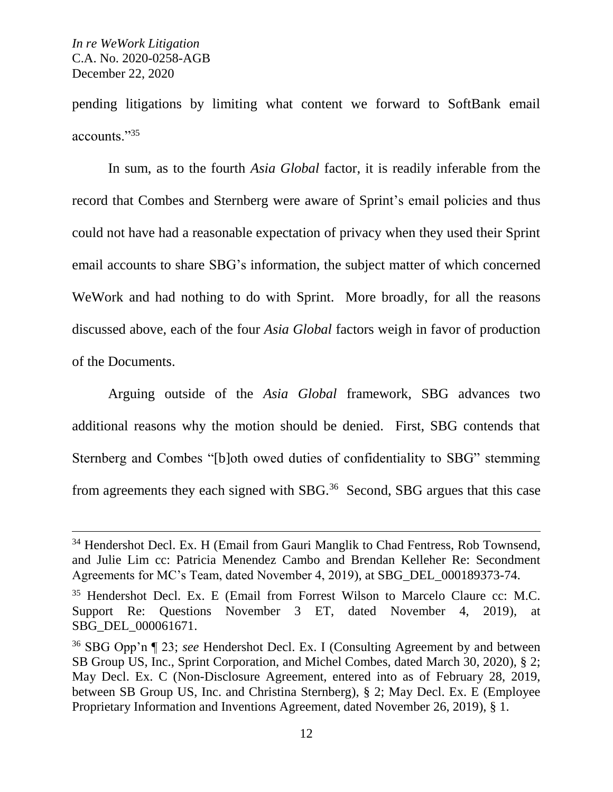pending litigations by limiting what content we forward to SoftBank email accounts."<sup>35</sup>

In sum, as to the fourth *Asia Global* factor, it is readily inferable from the record that Combes and Sternberg were aware of Sprint's email policies and thus could not have had a reasonable expectation of privacy when they used their Sprint email accounts to share SBG's information, the subject matter of which concerned WeWork and had nothing to do with Sprint. More broadly, for all the reasons discussed above, each of the four *Asia Global* factors weigh in favor of production of the Documents.

Arguing outside of the *Asia Global* framework, SBG advances two additional reasons why the motion should be denied. First, SBG contends that Sternberg and Combes "[b]oth owed duties of confidentiality to SBG" stemming from agreements they each signed with SBG.<sup>36</sup> Second, SBG argues that this case

<sup>&</sup>lt;sup>34</sup> Hendershot Decl. Ex. H (Email from Gauri Manglik to Chad Fentress, Rob Townsend, and Julie Lim cc: Patricia Menendez Cambo and Brendan Kelleher Re: Secondment Agreements for MC's Team, dated November 4, 2019), at SBG\_DEL\_000189373-74.

<sup>35</sup> Hendershot Decl. Ex. E (Email from Forrest Wilson to Marcelo Claure cc: M.C. Support Re: Questions November 3 ET, dated November 4, 2019), at SBG\_DEL\_000061671.

<sup>36</sup> SBG Opp'n ¶ 23; *see* Hendershot Decl. Ex. I (Consulting Agreement by and between SB Group US, Inc., Sprint Corporation, and Michel Combes, dated March 30, 2020), § 2; May Decl. Ex. C (Non-Disclosure Agreement, entered into as of February 28, 2019, between SB Group US, Inc. and Christina Sternberg), § 2; May Decl. Ex. E (Employee Proprietary Information and Inventions Agreement, dated November 26, 2019), § 1.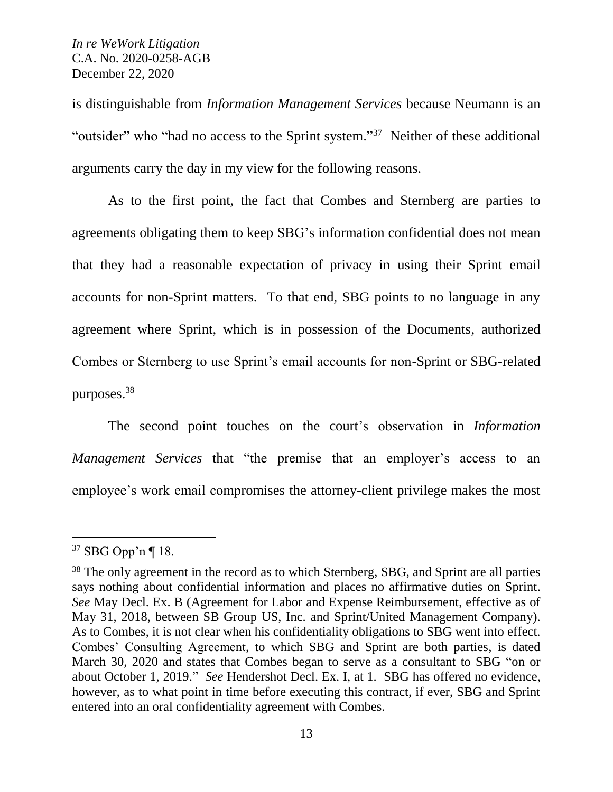is distinguishable from *Information Management Services* because Neumann is an "outsider" who "had no access to the Sprint system."<sup>37</sup> Neither of these additional arguments carry the day in my view for the following reasons.

As to the first point, the fact that Combes and Sternberg are parties to agreements obligating them to keep SBG's information confidential does not mean that they had a reasonable expectation of privacy in using their Sprint email accounts for non-Sprint matters. To that end, SBG points to no language in any agreement where Sprint, which is in possession of the Documents, authorized Combes or Sternberg to use Sprint's email accounts for non-Sprint or SBG-related purposes.<sup>38</sup>

The second point touches on the court's observation in *Information Management Services* that "the premise that an employer's access to an employee's work email compromises the attorney-client privilege makes the most

<sup>37</sup> SBG Opp'n ¶ 18.

<sup>&</sup>lt;sup>38</sup> The only agreement in the record as to which Sternberg, SBG, and Sprint are all parties says nothing about confidential information and places no affirmative duties on Sprint. *See* May Decl. Ex. B (Agreement for Labor and Expense Reimbursement, effective as of May 31, 2018, between SB Group US, Inc. and Sprint/United Management Company). As to Combes, it is not clear when his confidentiality obligations to SBG went into effect. Combes' Consulting Agreement, to which SBG and Sprint are both parties, is dated March 30, 2020 and states that Combes began to serve as a consultant to SBG "on or about October 1, 2019." *See* Hendershot Decl. Ex. I, at 1. SBG has offered no evidence, however, as to what point in time before executing this contract, if ever, SBG and Sprint entered into an oral confidentiality agreement with Combes.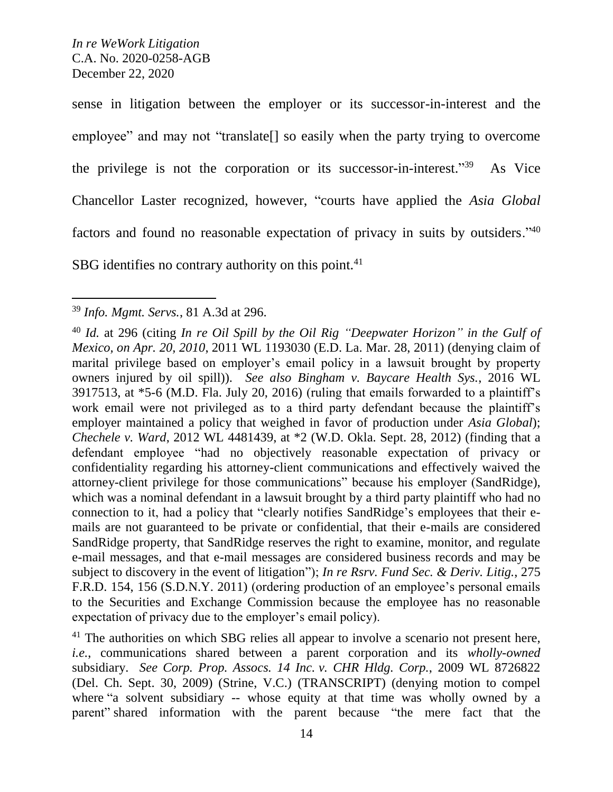sense in litigation between the employer or its successor-in-interest and the employee" and may not "translate[] so easily when the party trying to overcome the privilege is not the corporation or its successor-in-interest."39 As Vice Chancellor Laster recognized, however, "courts have applied the *Asia Global* factors and found no reasonable expectation of privacy in suits by outsiders."40 SBG identifies no contrary authority on this point. $41$ 

<sup>39</sup> *Info. Mgmt. Servs.*, 81 A.3d at 296.

<sup>40</sup> *Id.* at 296 (citing *In re Oil Spill by the Oil Rig "Deepwater Horizon" in the Gulf of Mexico, on Apr. 20, 2010*, 2011 WL 1193030 (E.D. La. Mar. 28, 2011) (denying claim of marital privilege based on employer's email policy in a lawsuit brought by property owners injured by oil spill)). *See also Bingham v. Baycare Health Sys.*, 2016 WL 3917513, at \*5-6 (M.D. Fla. July 20, 2016) (ruling that emails forwarded to a plaintiff's work email were not privileged as to a third party defendant because the plaintiff's employer maintained a policy that weighed in favor of production under *Asia Global*); *Chechele v. Ward*, 2012 WL 4481439, at \*2 (W.D. Okla. Sept. 28, 2012) (finding that a defendant employee "had no objectively reasonable expectation of privacy or confidentiality regarding his attorney-client communications and effectively waived the attorney-client privilege for those communications" because his employer (SandRidge), which was a nominal defendant in a lawsuit brought by a third party plaintiff who had no connection to it, had a policy that "clearly notifies SandRidge's employees that their emails are not guaranteed to be private or confidential, that their e-mails are considered SandRidge property, that SandRidge reserves the right to examine, monitor, and regulate e-mail messages, and that e-mail messages are considered business records and may be subject to discovery in the event of litigation"); *In re Rsrv. Fund Sec. & Deriv. Litig.*, 275 F.R.D. 154, 156 (S.D.N.Y. 2011) (ordering production of an employee's personal emails to the Securities and Exchange Commission because the employee has no reasonable expectation of privacy due to the employer's email policy).

 $41$  The authorities on which SBG relies all appear to involve a scenario not present here, *i.e.*, communications shared between a parent corporation and its *wholly-owned* subsidiary. *See Corp. Prop. Assocs. 14 Inc. v. CHR Hldg. Corp.*, 2009 WL 8726822 (Del. Ch. Sept. 30, 2009) (Strine, V.C.) (TRANSCRIPT) (denying motion to compel where "a solvent subsidiary -- whose equity at that time was wholly owned by a parent" shared information with the parent because "the mere fact that the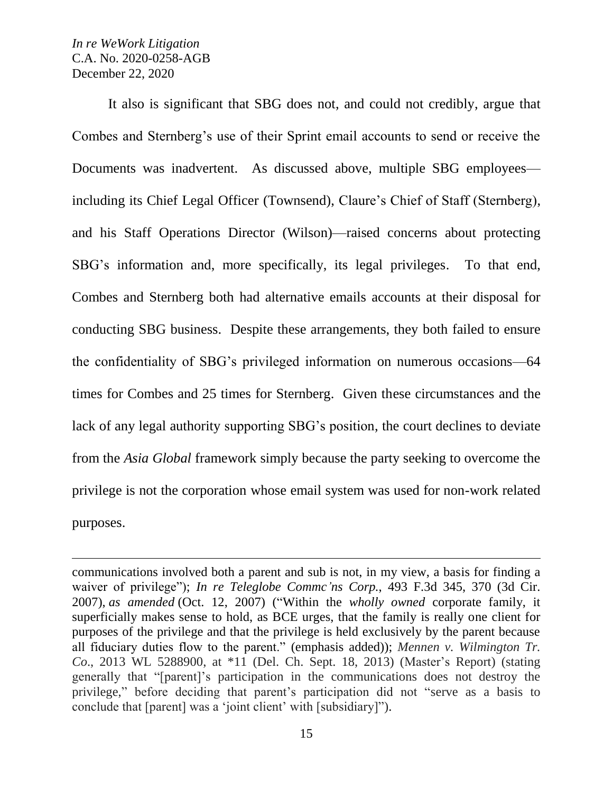$\overline{a}$ 

It also is significant that SBG does not, and could not credibly, argue that Combes and Sternberg's use of their Sprint email accounts to send or receive the Documents was inadvertent. As discussed above, multiple SBG employees including its Chief Legal Officer (Townsend), Claure's Chief of Staff (Sternberg), and his Staff Operations Director (Wilson)—raised concerns about protecting SBG's information and, more specifically, its legal privileges. To that end, Combes and Sternberg both had alternative emails accounts at their disposal for conducting SBG business. Despite these arrangements, they both failed to ensure the confidentiality of SBG's privileged information on numerous occasions—64 times for Combes and 25 times for Sternberg. Given these circumstances and the lack of any legal authority supporting SBG's position, the court declines to deviate from the *Asia Global* framework simply because the party seeking to overcome the privilege is not the corporation whose email system was used for non-work related purposes.

communications involved both a parent and sub is not, in my view, a basis for finding a waiver of privilege"); *In re Teleglobe Commc'ns Corp.*, 493 F.3d 345, 370 (3d Cir. 2007), *as amended* (Oct. 12, 2007) ("Within the *wholly owned* corporate family, it superficially makes sense to hold, as BCE urges, that the family is really one client for purposes of the privilege and that the privilege is held exclusively by the parent because all fiduciary duties flow to the parent." (emphasis added)); *Mennen v. Wilmington Tr. Co*., 2013 WL 5288900, at \*11 (Del. Ch. Sept. 18, 2013) (Master's Report) (stating generally that "[parent]'s participation in the communications does not destroy the privilege," before deciding that parent's participation did not "serve as a basis to conclude that [parent] was a 'joint client' with [subsidiary]").